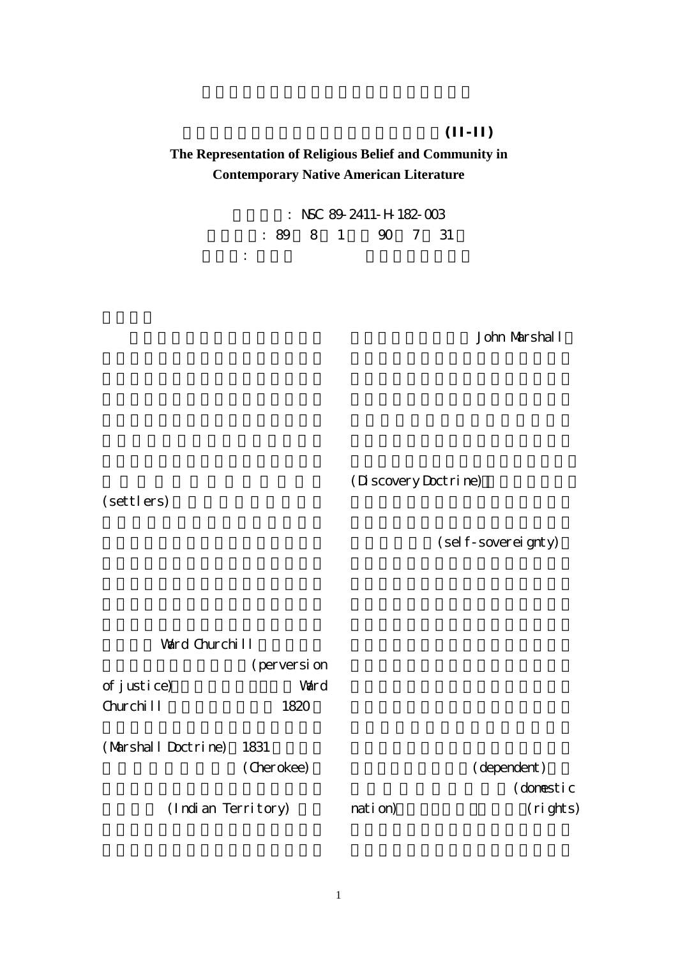$(II-II)$ **The Representation of Religious Belief and Community in Contemporary Native American Literature**

> : NSC 89-2411-H-182-003 執行期限: 89 8 1 日至 90 7 31 主持人: 張月珍 長庚大學通識中心

> > John Marshall

(Discovery Doctrine)

(settlers)

(self-sovereignty)

Ward Churchill (perversion of justice) Ward Churchill 1820 (Marshall Doctrine) 1831 (Cherokee) (Indian Territory) (dependent) (domestic nation) (rights)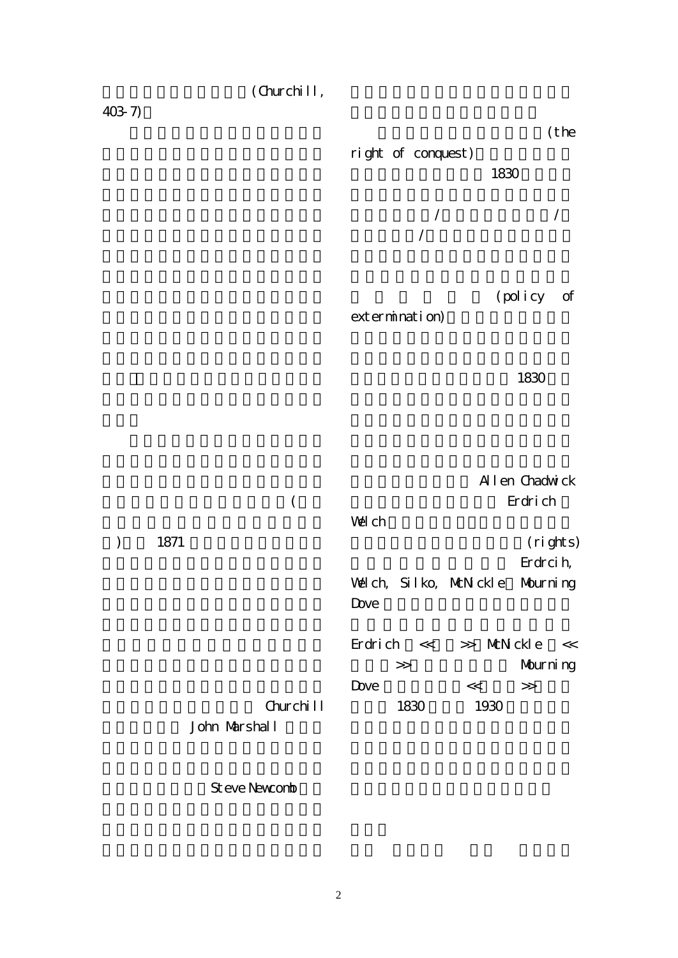(Churchill,

403-7)

(the right of conquest) 1830 述,環繞在新/舊世界,文明國家/  $/$ 

(policy of extermination)

1830

 $\zeta$ ), 1871 Churchill John Marshall Allen Chadwick Erdrich Welch (rights) Erdrcih, Welch, Silko, McNickle Mourning Dove  $Erdrich \ll \gg McN|ckle \ll$ 被圍者>>等歷史小說 Mourning  $Dove \qquad \qquad << \qquad >>$ 1830 1930

Steve Newcomb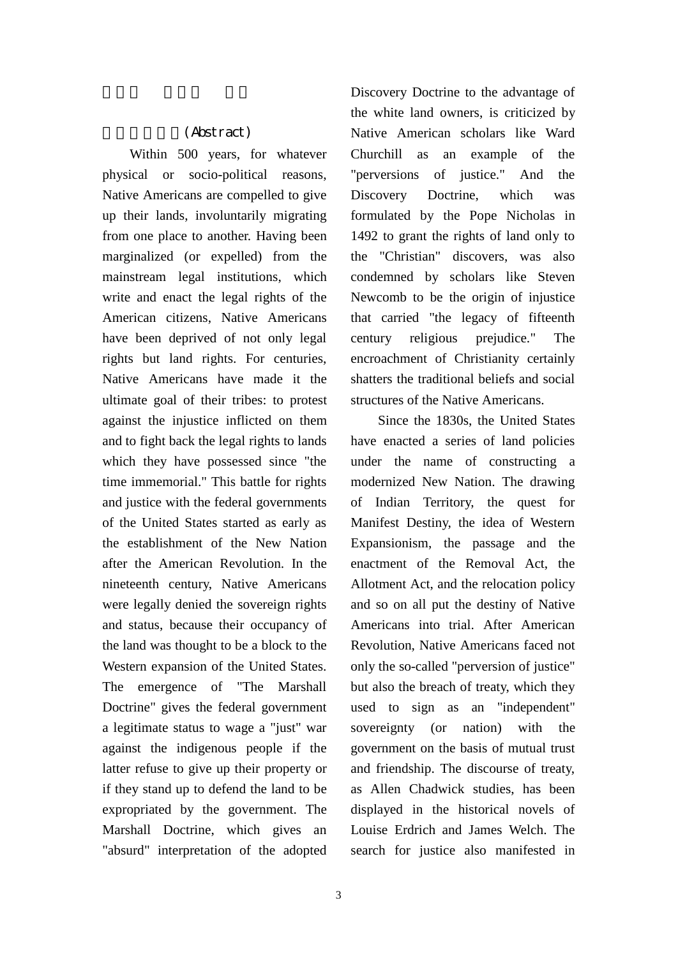## (Abstract)

Within 500 years, for whatever physical or socio-political reasons, Native Americans are compelled to give up their lands, involuntarily migrating from one place to another. Having been marginalized (or expelled) from the mainstream legal institutions, which write and enact the legal rights of the American citizens, Native Americans have been deprived of not only legal rights but land rights. For centuries, Native Americans have made it the ultimate goal of their tribes: to protest against the injustice inflicted on them and to fight back the legal rights to lands which they have possessed since "the time immemorial." This battle for rights and justice with the federal governments of the United States started as early as the establishment of the New Nation after the American Revolution. In the nineteenth century, Native Americans were legally denied the sovereign rights and status, because their occupancy of the land was thought to be a block to the Western expansion of the United States. The emergence of "The Marshall Doctrine" gives the federal government a legitimate status to wage a "just" war against the indigenous people if the latter refuse to give up their property or if they stand up to defend the land to be expropriated by the government. The Marshall Doctrine, which gives an "absurd" interpretation of the adopted

Discovery Doctrine to the advantage of the white land owners, is criticized by Native American scholars like Ward Churchill as an example of the "perversions of justice." And the Discovery Doctrine, which was formulated by the Pope Nicholas in 1492 to grant the rights of land only to the "Christian" discovers, was also condemned by scholars like Steven Newcomb to be the origin of injustice that carried "the legacy of fifteenth century religious prejudice." The encroachment of Christianity certainly shatters the traditional beliefs and social structures of the Native Americans.

Since the 1830s, the United States have enacted a series of land policies under the name of constructing a modernized New Nation. The drawing of Indian Territory, the quest for Manifest Destiny, the idea of Western Expansionism, the passage and the enactment of the Removal Act, the Allotment Act, and the relocation policy and so on all put the destiny of Native Americans into trial. After American Revolution, Native Americans faced not only the so-called "perversion of justice" but also the breach of treaty, which they used to sign as an "independent" sovereignty (or nation) with the government on the basis of mutual trust and friendship. The discourse of treaty, as Allen Chadwick studies, has been displayed in the historical novels of Louise Erdrich and James Welch. The search for justice also manifested in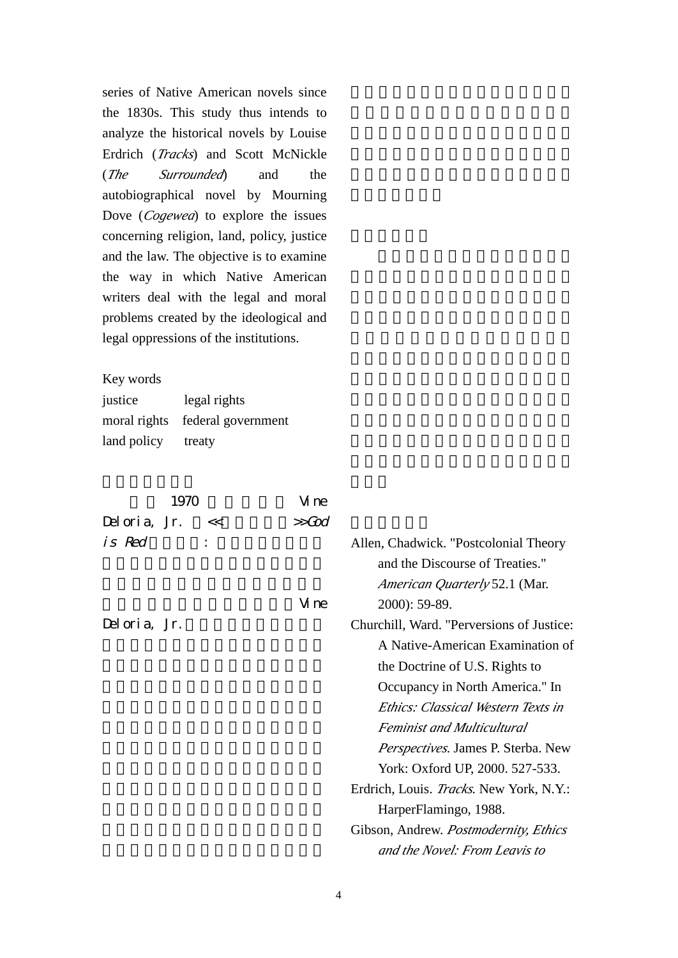series of Native American novels since the 1830s. This study thus intends to analyze the historical novels by Louise Erdrich (*Tracks*) and Scott McNickle (*The Surrounded*) and the autobiographical novel by Mourning Dove (*Cogewea*) to explore the issues concerning religion, land, policy, justice and the law. The objective is to examine the way in which Native American writers deal with the legal and moral problems created by the ideological and legal oppressions of the institutions.

Key words

| justice     | legal rights                    |
|-------------|---------------------------------|
|             | moral rights federal government |
| land policy | treaty                          |

|              | 1970 |                                  | Vi ne                                           |                                       |
|--------------|------|----------------------------------|-------------------------------------------------|---------------------------------------|
| Deloria, Jr. |      | <<                               | >>God                                           |                                       |
| is Red       |      |                                  |                                                 | Allen, Chadwick. "Postcolonial Theory |
|              |      |                                  |                                                 | and the Discourse of Treaties."       |
|              |      |                                  |                                                 | <i>American Quarterly</i> 52.1 (Mar.  |
|              |      | Vi ne                            | $2000$ : 59-89.                                 |                                       |
| Deloria, Jr. |      |                                  | Churchill, Ward. "Perversions of Justice:       |                                       |
|              |      | A Native-American Examination of |                                                 |                                       |
|              |      |                                  |                                                 | the Doctrine of U.S. Rights to        |
|              |      |                                  |                                                 | Occupancy in North America." In       |
|              |      |                                  |                                                 | Ethics: Classical Western Texts in    |
|              |      |                                  |                                                 | <b>Feminist and Multicultural</b>     |
|              |      |                                  |                                                 | Perspectives. James P. Sterba. New    |
|              |      |                                  |                                                 | York: Oxford UP, 2000. 527-533.       |
|              |      |                                  | Erdrich, Louis. <i>Tracks</i> . New York, N.Y.: |                                       |
|              |      | HarperFlamingo, 1988.            |                                                 |                                       |
|              |      |                                  |                                                 | Gibson, Andrew. Postmodernity, Ethics |
|              |      |                                  |                                                 | and the Novel: From Leavis to         |
|              |      |                                  |                                                 |                                       |